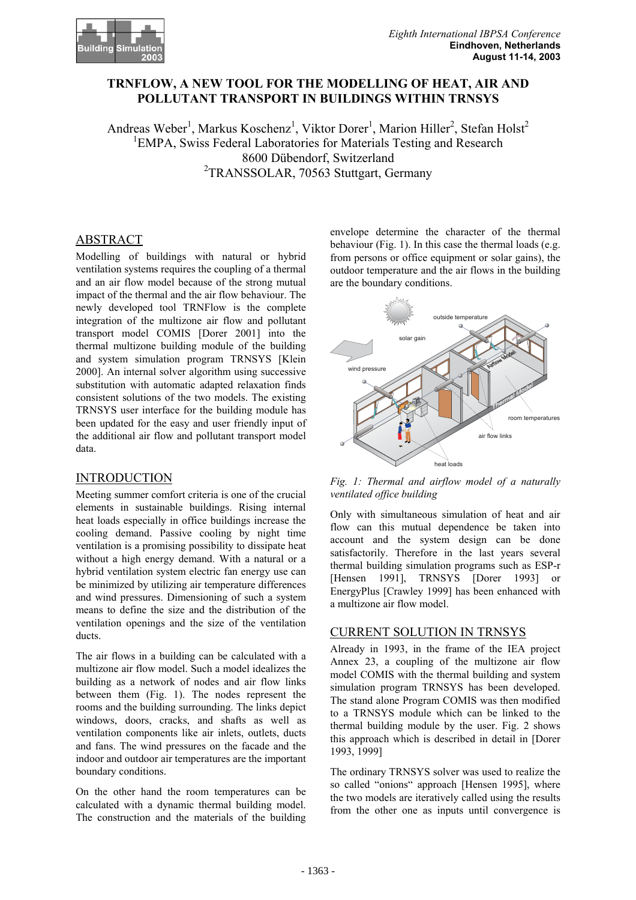

# **TRNFLOW, A NEW TOOL FOR THE MODELLING OF HEAT, AIR AND POLLUTANT TRANSPORT IN BUILDINGS WITHIN TRNSYS**

Andreas Weber<sup>1</sup>, Markus Koschenz<sup>1</sup>, Viktor Dorer<sup>1</sup>, Marion Hiller<sup>2</sup>, Stefan Holst<sup>2</sup> <sup>1</sup>EMPA, Swiss Federal Laboratories for Materials Testing and Research 8600 Dübendorf, Switzerland <sup>2</sup>TRANSSOLAR, 70563 Stuttgart, Germany

# ABSTRACT

Modelling of buildings with natural or hybrid ventilation systems requires the coupling of a thermal and an air flow model because of the strong mutual impact of the thermal and the air flow behaviour. The newly developed tool TRNFlow is the complete integration of the multizone air flow and pollutant transport model COMIS [Dorer 2001] into the thermal multizone building module of the building and system simulation program TRNSYS [Klein 2000]. An internal solver algorithm using successive substitution with automatic adapted relaxation finds consistent solutions of the two models. The existing TRNSYS user interface for the building module has been updated for the easy and user friendly input of the additional air flow and pollutant transport model data.

# INTRODUCTION

Meeting summer comfort criteria is one of the crucial elements in sustainable buildings. Rising internal heat loads especially in office buildings increase the cooling demand. Passive cooling by night time ventilation is a promising possibility to dissipate heat without a high energy demand. With a natural or a hybrid ventilation system electric fan energy use can be minimized by utilizing air temperature differences and wind pressures. Dimensioning of such a system means to define the size and the distribution of the ventilation openings and the size of the ventilation ducts.

The air flows in a building can be calculated with a multizone air flow model. Such a model idealizes the building as a network of nodes and air flow links between them (Fig. 1). The nodes represent the rooms and the building surrounding. The links depict windows, doors, cracks, and shafts as well as ventilation components like air inlets, outlets, ducts and fans. The wind pressures on the facade and the indoor and outdoor air temperatures are the important boundary conditions.

On the other hand the room temperatures can be calculated with a dynamic thermal building model. The construction and the materials of the building envelope determine the character of the thermal behaviour (Fig. 1). In this case the thermal loads (e.g. from persons or office equipment or solar gains), the outdoor temperature and the air flows in the building are the boundary conditions.



*Fig. 1: Thermal and airflow model of a naturally ventilated office building* 

Only with simultaneous simulation of heat and air flow can this mutual dependence be taken into account and the system design can be done satisfactorily. Therefore in the last years several thermal building simulation programs such as ESP-r [Hensen 1991], TRNSYS [Dorer 1993] or EnergyPlus [Crawley 1999] has been enhanced with a multizone air flow model.

#### CURRENT SOLUTION IN TRNSYS

Already in 1993, in the frame of the IEA project Annex 23, a coupling of the multizone air flow model COMIS with the thermal building and system simulation program TRNSYS has been developed. The stand alone Program COMIS was then modified to a TRNSYS module which can be linked to the thermal building module by the user. Fig. 2 shows this approach which is described in detail in [Dorer 1993, 1999]

The ordinary TRNSYS solver was used to realize the so called "onions" approach [Hensen 1995], where the two models are iteratively called using the results from the other one as inputs until convergence is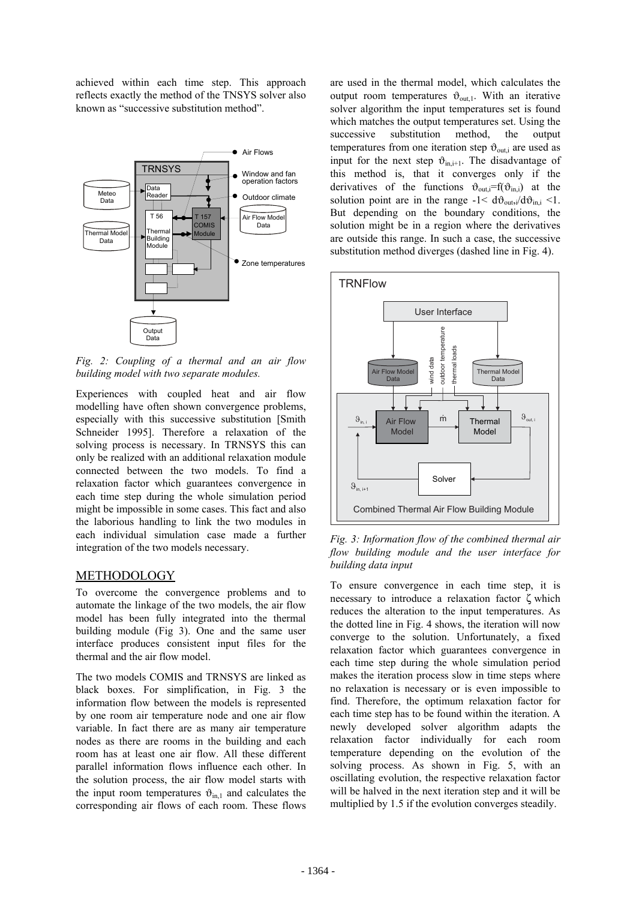achieved within each time step. This approach reflects exactly the method of the TNSYS solver also known as "successive substitution method".



*Fig. 2: Coupling of a thermal and an air flow building model with two separate modules.* 

Experiences with coupled heat and air flow modelling have often shown convergence problems, especially with this successive substitution [Smith Schneider 1995]. Therefore a relaxation of the solving process is necessary. In TRNSYS this can only be realized with an additional relaxation module connected between the two models. To find a relaxation factor which guarantees convergence in each time step during the whole simulation period might be impossible in some cases. This fact and also the laborious handling to link the two modules in each individual simulation case made a further integration of the two models necessary.

# METHODOLOGY

To overcome the convergence problems and to automate the linkage of the two models, the air flow model has been fully integrated into the thermal building module (Fig 3). One and the same user interface produces consistent input files for the thermal and the air flow model.

The two models COMIS and TRNSYS are linked as black boxes. For simplification, in Fig. 3 the information flow between the models is represented by one room air temperature node and one air flow variable. In fact there are as many air temperature nodes as there are rooms in the building and each room has at least one air flow. All these different parallel information flows influence each other. In the solution process, the air flow model starts with the input room temperatures  $\vartheta_{\text{in},1}$  and calculates the corresponding air flows of each room. These flows

are used in the thermal model, which calculates the output room temperatures  $\vartheta_{\text{out,1}}$ . With an iterative solver algorithm the input temperatures set is found which matches the output temperatures set. Using the successive substitution method, the output temperatures from one iteration step  $\vartheta_{\text{out},i}$  are used as input for the next step  $\vartheta_{\text{in i+1}}$ . The disadvantage of this method is, that it converges only if the derivatives of the functions  $\vartheta_{\text{out}}=f(\vartheta_{\text{in},i})$  at the solution point are in the range  $-1 < d\vartheta_{\text{out},i}/d\vartheta_{\text{in},i} < 1$ . But depending on the boundary conditions, the solution might be in a region where the derivatives are outside this range. In such a case, the successive substitution method diverges (dashed line in Fig. 4).



*Fig. 3: Information flow of the combined thermal air flow building module and the user interface for building data input* 

To ensure convergence in each time step, it is necessary to introduce a relaxation factor ζ which reduces the alteration to the input temperatures. As the dotted line in Fig. 4 shows, the iteration will now converge to the solution. Unfortunately, a fixed relaxation factor which guarantees convergence in each time step during the whole simulation period makes the iteration process slow in time steps where no relaxation is necessary or is even impossible to find. Therefore, the optimum relaxation factor for each time step has to be found within the iteration. A newly developed solver algorithm adapts the relaxation factor individually for each room temperature depending on the evolution of the solving process. As shown in Fig. 5, with an oscillating evolution, the respective relaxation factor will be halved in the next iteration step and it will be multiplied by 1.5 if the evolution converges steadily.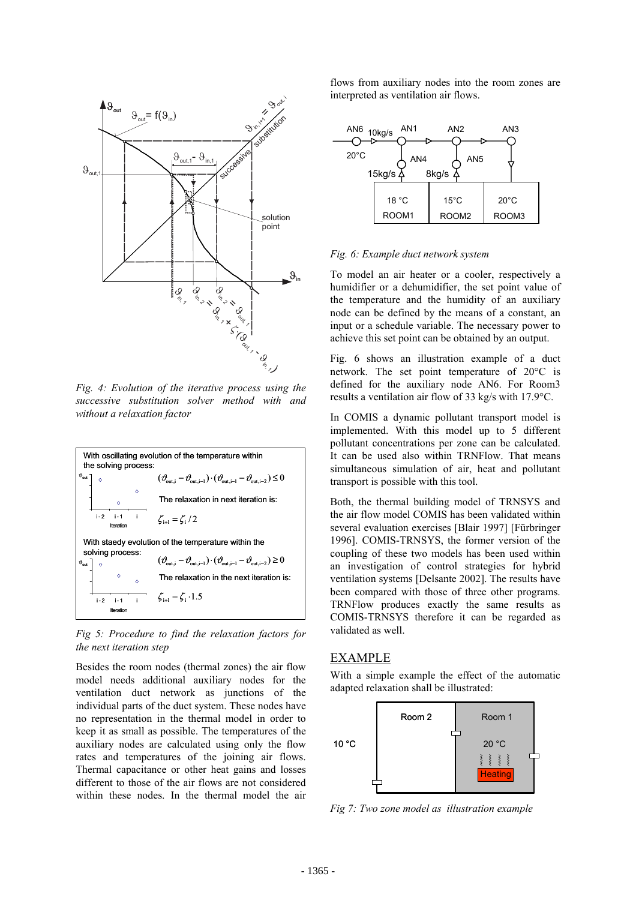

*Fig. 4: Evolution of the iterative process using the successive substitution solver method with and without a relaxation factor* 



*Fig 5: Procedure to find the relaxation factors for the next iteration step* 

Besides the room nodes (thermal zones) the air flow model needs additional auxiliary nodes for the ventilation duct network as junctions of the individual parts of the duct system. These nodes have no representation in the thermal model in order to keep it as small as possible. The temperatures of the auxiliary nodes are calculated using only the flow rates and temperatures of the joining air flows. Thermal capacitance or other heat gains and losses different to those of the air flows are not considered within these nodes. In the thermal model the air flows from auxiliary nodes into the room zones are interpreted as ventilation air flows.



#### *Fig. 6: Example duct network system*

To model an air heater or a cooler, respectively a humidifier or a dehumidifier, the set point value of the temperature and the humidity of an auxiliary node can be defined by the means of a constant, an input or a schedule variable. The necessary power to achieve this set point can be obtained by an output.

Fig. 6 shows an illustration example of a duct network. The set point temperature of 20°C is defined for the auxiliary node AN6. For Room3 results a ventilation air flow of 33 kg/s with 17.9°C.

In COMIS a dynamic pollutant transport model is implemented. With this model up to 5 different pollutant concentrations per zone can be calculated. It can be used also within TRNFlow. That means simultaneous simulation of air, heat and pollutant transport is possible with this tool.

Both, the thermal building model of TRNSYS and the air flow model COMIS has been validated within several evaluation exercises [Blair 1997] [Fürbringer 1996]. COMIS-TRNSYS, the former version of the coupling of these two models has been used within an investigation of control strategies for hybrid ventilation systems [Delsante 2002]. The results have been compared with those of three other programs. TRNFlow produces exactly the same results as COMIS-TRNSYS therefore it can be regarded as validated as well.

### EXAMPLE

With a simple example the effect of the automatic adapted relaxation shall be illustrated:



*Fig 7: Two zone model as illustration example*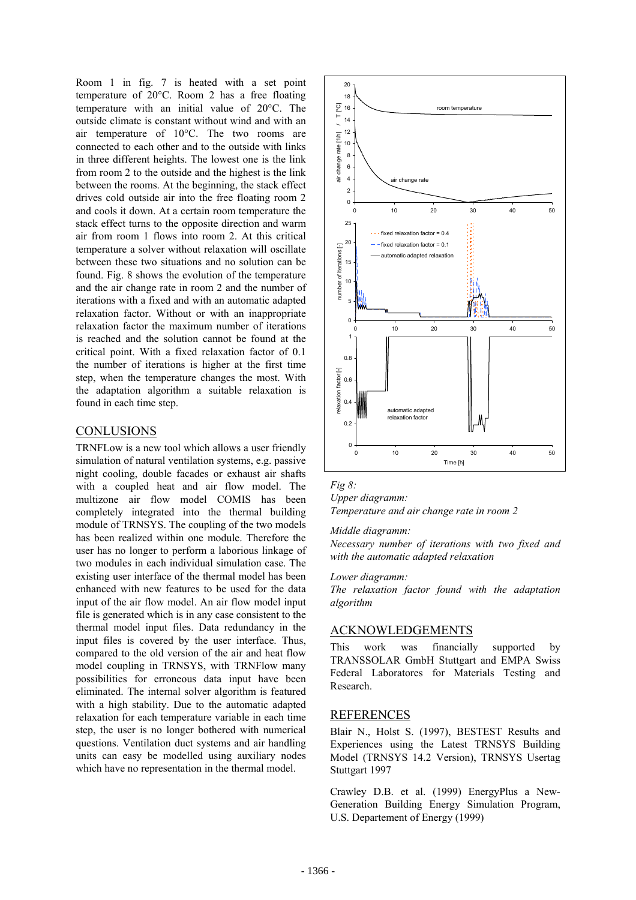Room 1 in fig. 7 is heated with a set point temperature of 20°C. Room 2 has a free floating temperature with an initial value of 20°C. The outside climate is constant without wind and with an air temperature of 10°C. The two rooms are connected to each other and to the outside with links in three different heights. The lowest one is the link from room 2 to the outside and the highest is the link between the rooms. At the beginning, the stack effect drives cold outside air into the free floating room 2 and cools it down. At a certain room temperature the stack effect turns to the opposite direction and warm air from room 1 flows into room 2. At this critical temperature a solver without relaxation will oscillate between these two situations and no solution can be found. Fig. 8 shows the evolution of the temperature and the air change rate in room 2 and the number of iterations with a fixed and with an automatic adapted relaxation factor. Without or with an inappropriate relaxation factor the maximum number of iterations is reached and the solution cannot be found at the critical point. With a fixed relaxation factor of 0.1 the number of iterations is higher at the first time step, when the temperature changes the most. With the adaptation algorithm a suitable relaxation is found in each time step.

#### **CONLUSIONS**

TRNFLow is a new tool which allows a user friendly simulation of natural ventilation systems, e.g. passive night cooling, double facades or exhaust air shafts with a coupled heat and air flow model. The multizone air flow model COMIS has been completely integrated into the thermal building module of TRNSYS. The coupling of the two models has been realized within one module. Therefore the user has no longer to perform a laborious linkage of two modules in each individual simulation case. The existing user interface of the thermal model has been enhanced with new features to be used for the data input of the air flow model. An air flow model input file is generated which is in any case consistent to the thermal model input files. Data redundancy in the input files is covered by the user interface. Thus, compared to the old version of the air and heat flow model coupling in TRNSYS, with TRNFlow many possibilities for erroneous data input have been eliminated. The internal solver algorithm is featured with a high stability. Due to the automatic adapted relaxation for each temperature variable in each time step, the user is no longer bothered with numerical questions. Ventilation duct systems and air handling units can easy be modelled using auxiliary nodes which have no representation in the thermal model.



*Fig 8: Upper diagramm:* 

*Temperature and air change rate in room 2* 

### *Middle diagramm:*

*Necessary number of iterations with two fixed and with the automatic adapted relaxation* 

#### *Lower diagramm:*

*The relaxation factor found with the adaptation algorithm* 

## ACKNOWLEDGEMENTS

This work was financially supported by TRANSSOLAR GmbH Stuttgart and EMPA Swiss Federal Laboratores for Materials Testing and Research.

### REFERENCES

Blair N., Holst S. (1997), BESTEST Results and Experiences using the Latest TRNSYS Building Model (TRNSYS 14.2 Version), TRNSYS Usertag Stuttgart 1997

Crawley D.B. et al. (1999) EnergyPlus a New-Generation Building Energy Simulation Program, U.S. Departement of Energy (1999)